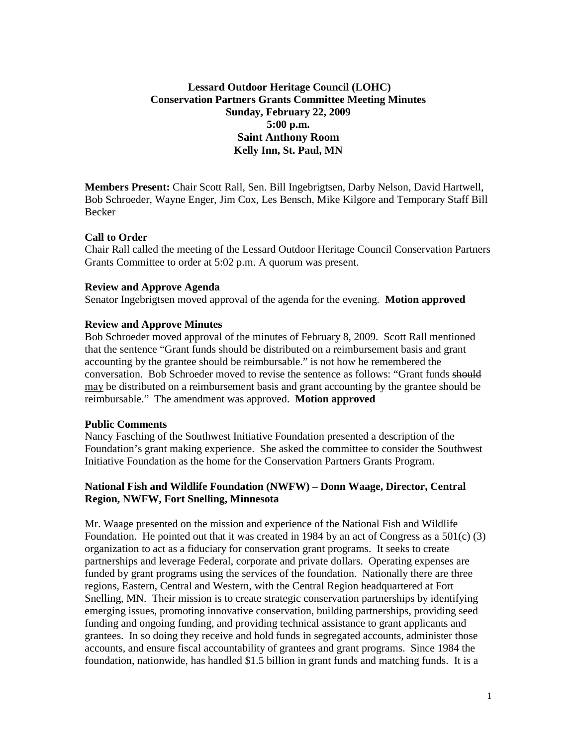# **Lessard Outdoor Heritage Council (LOHC) Conservation Partners Grants Committee Meeting Minutes Sunday, February 22, 2009 5:00 p.m. Saint Anthony Room Kelly Inn, St. Paul, MN**

**Members Present:** Chair Scott Rall, Sen. Bill Ingebrigtsen, Darby Nelson, David Hartwell, Bob Schroeder, Wayne Enger, Jim Cox, Les Bensch, Mike Kilgore and Temporary Staff Bill Becker

#### **Call to Order**

Chair Rall called the meeting of the Lessard Outdoor Heritage Council Conservation Partners Grants Committee to order at 5:02 p.m. A quorum was present.

#### **Review and Approve Agenda**

Senator Ingebrigtsen moved approval of the agenda for the evening. **Motion approved**

#### **Review and Approve Minutes**

Bob Schroeder moved approval of the minutes of February 8, 2009. Scott Rall mentioned that the sentence "Grant funds should be distributed on a reimbursement basis and grant accounting by the grantee should be reimbursable." is not how he remembered the conversation. Bob Schroeder moved to revise the sentence as follows: "Grant funds should may be distributed on a reimbursement basis and grant accounting by the grantee should be reimbursable." The amendment was approved. **Motion approved**

#### **Public Comments**

Nancy Fasching of the Southwest Initiative Foundation presented a description of the Foundation's grant making experience. She asked the committee to consider the Southwest Initiative Foundation as the home for the Conservation Partners Grants Program.

### **National Fish and Wildlife Foundation (NWFW) – Donn Waage, Director, Central Region, NWFW, Fort Snelling, Minnesota**

Mr. Waage presented on the mission and experience of the National Fish and Wildlife Foundation. He pointed out that it was created in 1984 by an act of Congress as a  $501(c)$  (3) organization to act as a fiduciary for conservation grant programs. It seeks to create partnerships and leverage Federal, corporate and private dollars. Operating expenses are funded by grant programs using the services of the foundation. Nationally there are three regions, Eastern, Central and Western, with the Central Region headquartered at Fort Snelling, MN. Their mission is to create strategic conservation partnerships by identifying emerging issues, promoting innovative conservation, building partnerships, providing seed funding and ongoing funding, and providing technical assistance to grant applicants and grantees. In so doing they receive and hold funds in segregated accounts, administer those accounts, and ensure fiscal accountability of grantees and grant programs. Since 1984 the foundation, nationwide, has handled \$1.5 billion in grant funds and matching funds. It is a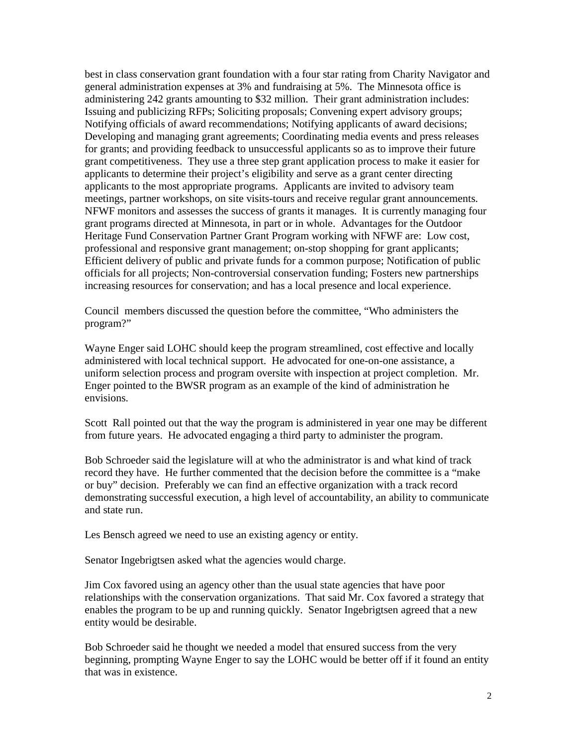best in class conservation grant foundation with a four star rating from Charity Navigator and general administration expenses at 3% and fundraising at 5%. The Minnesota office is administering 242 grants amounting to \$32 million. Their grant administration includes: Issuing and publicizing RFPs; Soliciting proposals; Convening expert advisory groups; Notifying officials of award recommendations; Notifying applicants of award decisions; Developing and managing grant agreements; Coordinating media events and press releases for grants; and providing feedback to unsuccessful applicants so as to improve their future grant competitiveness. They use a three step grant application process to make it easier for applicants to determine their project's eligibility and serve as a grant center directing applicants to the most appropriate programs. Applicants are invited to advisory team meetings, partner workshops, on site visits-tours and receive regular grant announcements. NFWF monitors and assesses the success of grants it manages. It is currently managing four grant programs directed at Minnesota, in part or in whole. Advantages for the Outdoor Heritage Fund Conservation Partner Grant Program working with NFWF are: Low cost, professional and responsive grant management; on-stop shopping for grant applicants; Efficient delivery of public and private funds for a common purpose; Notification of public officials for all projects; Non-controversial conservation funding; Fosters new partnerships increasing resources for conservation; and has a local presence and local experience.

Council members discussed the question before the committee, "Who administers the program?"

Wayne Enger said LOHC should keep the program streamlined, cost effective and locally administered with local technical support. He advocated for one-on-one assistance, a uniform selection process and program oversite with inspection at project completion. Mr. Enger pointed to the BWSR program as an example of the kind of administration he envisions.

Scott Rall pointed out that the way the program is administered in year one may be different from future years. He advocated engaging a third party to administer the program.

Bob Schroeder said the legislature will at who the administrator is and what kind of track record they have. He further commented that the decision before the committee is a "make or buy" decision. Preferably we can find an effective organization with a track record demonstrating successful execution, a high level of accountability, an ability to communicate and state run.

Les Bensch agreed we need to use an existing agency or entity.

Senator Ingebrigtsen asked what the agencies would charge.

Jim Cox favored using an agency other than the usual state agencies that have poor relationships with the conservation organizations. That said Mr. Cox favored a strategy that enables the program to be up and running quickly. Senator Ingebrigtsen agreed that a new entity would be desirable.

Bob Schroeder said he thought we needed a model that ensured success from the very beginning, prompting Wayne Enger to say the LOHC would be better off if it found an entity that was in existence.